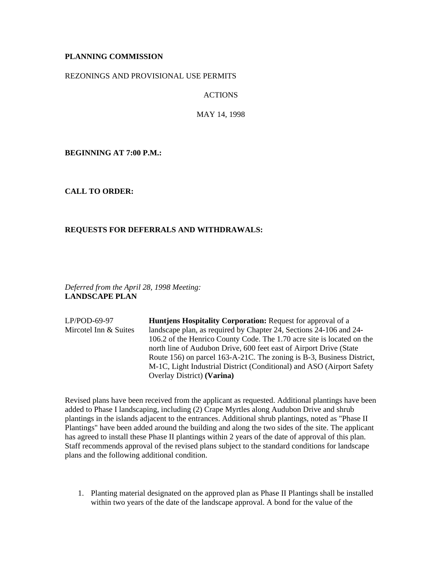# **PLANNING COMMISSION**

### REZONINGS AND PROVISIONAL USE PERMITS

ACTIONS

MAY 14, 1998

**BEGINNING AT 7:00 P.M.:**

# **CALL TO ORDER:**

# **REQUESTS FOR DEFERRALS AND WITHDRAWALS:**

*Deferred from the April 28, 1998 Meeting:* **LANDSCAPE PLAN**

| $LP/POD-69-97$        | <b>Huntiens Hospitality Corporation: Request for approval of a</b>     |
|-----------------------|------------------------------------------------------------------------|
| Mircotel Inn & Suites | landscape plan, as required by Chapter 24, Sections 24-106 and 24-     |
|                       | 106.2 of the Henrico County Code. The 1.70 acre site is located on the |
|                       | north line of Audubon Drive, 600 feet east of Airport Drive (State     |
|                       | Route 156) on parcel 163-A-21C. The zoning is B-3, Business District,  |
|                       | M-1C, Light Industrial District (Conditional) and ASO (Airport Safety  |
|                       | Overlay District) (Varina)                                             |

Revised plans have been received from the applicant as requested. Additional plantings have been added to Phase I landscaping, including (2) Crape Myrtles along Audubon Drive and shrub plantings in the islands adjacent to the entrances. Additional shrub plantings, noted as "Phase II Plantings" have been added around the building and along the two sides of the site. The applicant has agreed to install these Phase II plantings within 2 years of the date of approval of this plan. Staff recommends approval of the revised plans subject to the standard conditions for landscape plans and the following additional condition.

1. Planting material designated on the approved plan as Phase II Plantings shall be installed within two years of the date of the landscape approval. A bond for the value of the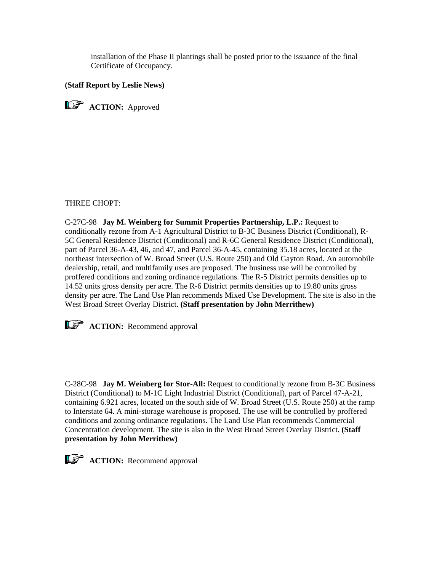installation of the Phase II plantings shall be posted prior to the issuance of the final Certificate of Occupancy.

# **(Staff Report by Leslie News)**

**ACTION:** Approved

#### THREE CHOPT:

C-27C-98 **Jay M. Weinberg for Summit Properties Partnership, L.P.:** Request to conditionally rezone from A-1 Agricultural District to B-3C Business District (Conditional), R-5C General Residence District (Conditional) and R-6C General Residence District (Conditional), part of Parcel 36-A-43, 46, and 47, and Parcel 36-A-45, containing 35.18 acres, located at the northeast intersection of W. Broad Street (U.S. Route 250) and Old Gayton Road. An automobile dealership, retail, and multifamily uses are proposed. The business use will be controlled by proffered conditions and zoning ordinance regulations. The R-5 District permits densities up to 14.52 units gross density per acre. The R-6 District permits densities up to 19.80 units gross density per acre. The Land Use Plan recommends Mixed Use Development. The site is also in the West Broad Street Overlay District. **(Staff presentation by John Merrithew)**

**ACTION:** Recommend approval

C-28C-98 **Jay M. Weinberg for Stor-All:** Request to conditionally rezone from B-3C Business District (Conditional) to M-1C Light Industrial District (Conditional), part of Parcel 47-A-21, containing 6.921 acres, located on the south side of W. Broad Street (U.S. Route 250) at the ramp to Interstate 64. A mini-storage warehouse is proposed. The use will be controlled by proffered conditions and zoning ordinance regulations. The Land Use Plan recommends Commercial Concentration development. The site is also in the West Broad Street Overlay District. **(Staff presentation by John Merrithew)**



**ACTION:** Recommend approval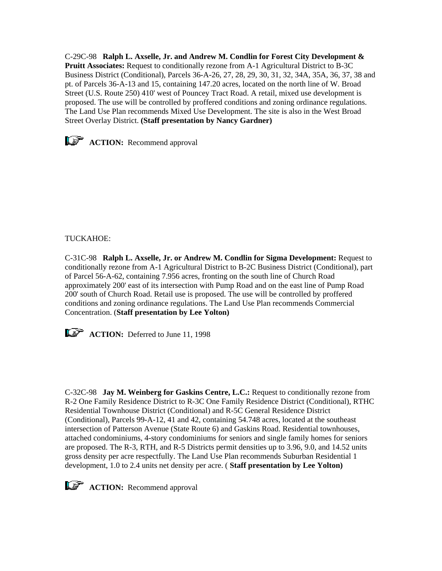C-29C-98 **Ralph L. Axselle, Jr. and Andrew M. Condlin for Forest City Development & Pruitt Associates:** Request to conditionally rezone from A-1 Agricultural District to B-3C Business District (Conditional), Parcels 36-A-26, 27, 28, 29, 30, 31, 32, 34A, 35A, 36, 37, 38 and pt. of Parcels 36-A-13 and 15, containing 147.20 acres, located on the north line of W. Broad Street (U.S. Route 250) 410' west of Pouncey Tract Road. A retail, mixed use development is proposed. The use will be controlled by proffered conditions and zoning ordinance regulations. The Land Use Plan recommends Mixed Use Development. The site is also in the West Broad Street Overlay District. **(Staff presentation by Nancy Gardner)**



**ACTION:** Recommend approval

# TUCKAHOE:

C-31C-98 **Ralph L. Axselle, Jr. or Andrew M. Condlin for Sigma Development:** Request to conditionally rezone from A-1 Agricultural District to B-2C Business District (Conditional), part of Parcel 56-A-62, containing 7.956 acres, fronting on the south line of Church Road approximately 200' east of its intersection with Pump Road and on the east line of Pump Road 200' south of Church Road. Retail use is proposed. The use will be controlled by proffered conditions and zoning ordinance regulations. The Land Use Plan recommends Commercial Concentration. (**Staff presentation by Lee Yolton)** 



**ACTION:** Deferred to June 11, 1998

C-32C-98 **Jay M. Weinberg for Gaskins Centre, L.C.:** Request to conditionally rezone from R-2 One Family Residence District to R-3C One Family Residence District (Conditional), RTHC Residential Townhouse District (Conditional) and R-5C General Residence District (Conditional), Parcels 99-A-12, 41 and 42, containing 54.748 acres, located at the southeast intersection of Patterson Avenue (State Route 6) and Gaskins Road. Residential townhouses, attached condominiums, 4-story condominiums for seniors and single family homes for seniors are proposed. The R-3, RTH, and R-5 Districts permit densities up to 3.96, 9.0, and 14.52 units gross density per acre respectfully. The Land Use Plan recommends Suburban Residential 1 development, 1.0 to 2.4 units net density per acre. ( **Staff presentation by Lee Yolton)**

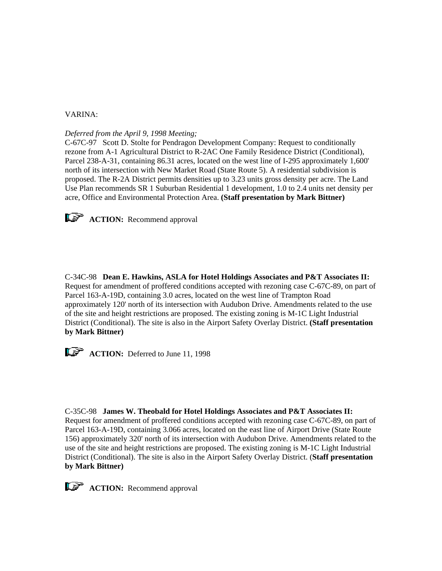### VARINA:

*Deferred from the April 9, 1998 Meeting;*

C-67C-97 Scott D. Stolte for Pendragon Development Company: Request to conditionally rezone from A-1 Agricultural District to R-2AC One Family Residence District (Conditional), Parcel 238-A-31, containing 86.31 acres, located on the west line of I-295 approximately 1,600' north of its intersection with New Market Road (State Route 5). A residential subdivision is proposed. The R-2A District permits densities up to 3.23 units gross density per acre. The Land Use Plan recommends SR 1 Suburban Residential 1 development, 1.0 to 2.4 units net density per acre, Office and Environmental Protection Area. **(Staff presentation by Mark Bittner)**



**ACTION:** Recommend approval

C-34C-98 **Dean E. Hawkins, ASLA for Hotel Holdings Associates and P&T Associates II:** Request for amendment of proffered conditions accepted with rezoning case C-67C-89, on part of Parcel 163-A-19D, containing 3.0 acres, located on the west line of Trampton Road approximately 120' north of its intersection with Audubon Drive. Amendments related to the use of the site and height restrictions are proposed. The existing zoning is M-1C Light Industrial District (Conditional). The site is also in the Airport Safety Overlay District. **(Staff presentation by Mark Bittner)**



**ACTION:** Deferred to June 11, 1998

C-35C-98 **James W. Theobald for Hotel Holdings Associates and P&T Associates II:** Request for amendment of proffered conditions accepted with rezoning case C-67C-89, on part of Parcel 163-A-19D, containing 3.066 acres, located on the east line of Airport Drive (State Route 156) approximately 320' north of its intersection with Audubon Drive. Amendments related to the use of the site and height restrictions are proposed. The existing zoning is M-1C Light Industrial District (Conditional). The site is also in the Airport Safety Overlay District. (**Staff presentation by Mark Bittner)**



**ACTION:** Recommend approval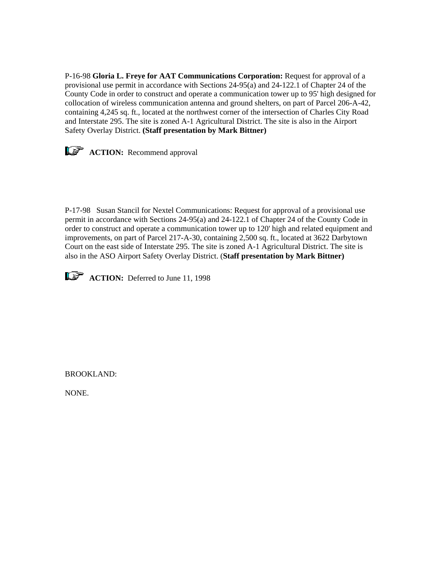P-16-98 **Gloria L. Freye for AAT Communications Corporation:** Request for approval of a provisional use permit in accordance with Sections 24-95(a) and 24-122.1 of Chapter 24 of the County Code in order to construct and operate a communication tower up to 95' high designed for collocation of wireless communication antenna and ground shelters, on part of Parcel 206-A-42, containing 4,245 sq. ft., located at the northwest corner of the intersection of Charles City Road and Interstate 295. The site is zoned A-1 Agricultural District. The site is also in the Airport Safety Overlay District. **(Staff presentation by Mark Bittner)**



**ACTION:** Recommend approval

P-17-98 Susan Stancil for Nextel Communications: Request for approval of a provisional use permit in accordance with Sections 24-95(a) and 24-122.1 of Chapter 24 of the County Code in order to construct and operate a communication tower up to 120' high and related equipment and improvements, on part of Parcel 217-A-30, containing 2,500 sq. ft., located at 3622 Darbytown Court on the east side of Interstate 295. The site is zoned A-1 Agricultural District. The site is also in the ASO Airport Safety Overlay District. (**Staff presentation by Mark Bittner)** 



**ACTION:** Deferred to June 11, 1998

BROOKLAND:

NONE.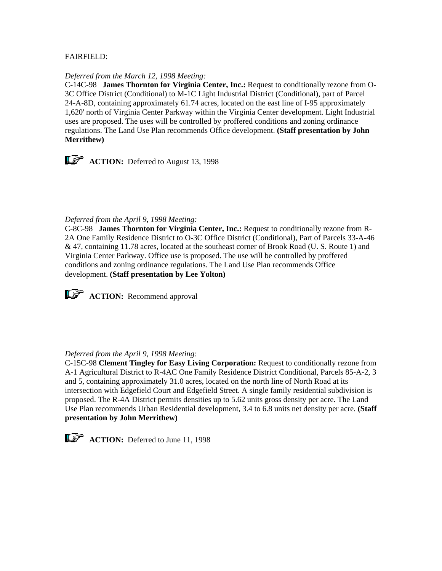# FAIRFIELD:

#### *Deferred from the March 12, 1998 Meeting:*

C-14C-98 **James Thornton for Virginia Center, Inc.:** Request to conditionally rezone from O-3C Office District (Conditional) to M-1C Light Industrial District (Conditional), part of Parcel 24-A-8D, containing approximately 61.74 acres, located on the east line of I-95 approximately 1,620' north of Virginia Center Parkway within the Virginia Center development. Light Industrial uses are proposed. The uses will be controlled by proffered conditions and zoning ordinance regulations. The Land Use Plan recommends Office development. **(Staff presentation by John Merrithew)** 



**ACTION:** Deferred to August 13, 1998

# *Deferred from the April 9, 1998 Meeting:*

C-8C-98 **James Thornton for Virginia Center, Inc.:** Request to conditionally rezone from R-2A One Family Residence District to O-3C Office District (Conditional), Part of Parcels 33-A-46 & 47, containing 11.78 acres, located at the southeast corner of Brook Road (U. S. Route 1) and Virginia Center Parkway. Office use is proposed. The use will be controlled by proffered conditions and zoning ordinance regulations. The Land Use Plan recommends Office development. **(Staff presentation by Lee Yolton)**



**ACTION:** Recommend approval

# *Deferred from the April 9, 1998 Meeting:*

C-15C-98 **Clement Tingley for Easy Living Corporation:** Request to conditionally rezone from A-1 Agricultural District to R-4AC One Family Residence District Conditional, Parcels 85-A-2, 3 and 5, containing approximately 31.0 acres, located on the north line of North Road at its intersection with Edgefield Court and Edgefield Street. A single family residential subdivision is proposed. The R-4A District permits densities up to 5.62 units gross density per acre. The Land Use Plan recommends Urban Residential development, 3.4 to 6.8 units net density per acre. **(Staff presentation by John Merrithew)**

**ACTION:** Deferred to June 11, 1998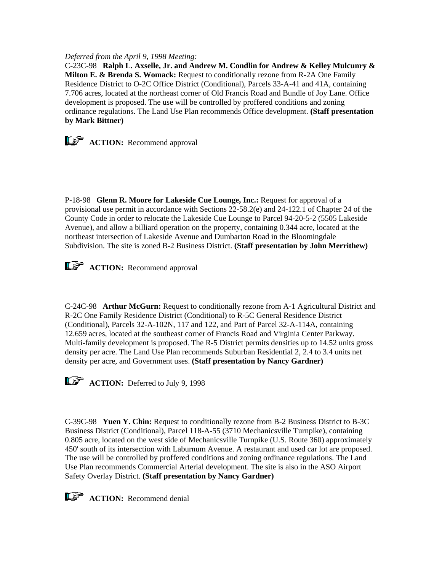### *Deferred from the April 9, 1998 Meeting:*

C-23C-98 **Ralph L. Axselle, Jr. and Andrew M. Condlin for Andrew & Kelley Mulcunry & Milton E. & Brenda S. Womack:** Request to conditionally rezone from R-2A One Family Residence District to O-2C Office District (Conditional), Parcels 33-A-41 and 41A, containing 7.706 acres, located at the northeast corner of Old Francis Road and Bundle of Joy Lane. Office development is proposed. The use will be controlled by proffered conditions and zoning ordinance regulations. The Land Use Plan recommends Office development. **(Staff presentation by Mark Bittner)**



**ACTION:** Recommend approval

P-18-98 **Glenn R. Moore for Lakeside Cue Lounge, Inc.:** Request for approval of a provisional use permit in accordance with Sections 22-58.2(e) and 24-122.1 of Chapter 24 of the County Code in order to relocate the Lakeside Cue Lounge to Parcel 94-20-5-2 (5505 Lakeside Avenue), and allow a billiard operation on the property, containing 0.344 acre, located at the northeast intersection of Lakeside Avenue and Dumbarton Road in the Bloomingdale Subdivision. The site is zoned B-2 Business District. **(Staff presentation by John Merrithew)**

**ACTION:** Recommend approval

C-24C-98 **Arthur McGurn:** Request to conditionally rezone from A-1 Agricultural District and R-2C One Family Residence District (Conditional) to R-5C General Residence District (Conditional), Parcels 32-A-102N, 117 and 122, and Part of Parcel 32-A-114A, containing 12.659 acres, located at the southeast corner of Francis Road and Virginia Center Parkway. Multi-family development is proposed. The R-5 District permits densities up to 14.52 units gross density per acre. The Land Use Plan recommends Suburban Residential 2, 2.4 to 3.4 units net density per acre, and Government uses. **(Staff presentation by Nancy Gardner)**



**ACTION:** Deferred to July 9, 1998

C-39C-98 **Yuen Y. Chin:** Request to conditionally rezone from B-2 Business District to B-3C Business District (Conditional), Parcel 118-A-55 (3710 Mechanicsville Turnpike), containing 0.805 acre, located on the west side of Mechanicsville Turnpike (U.S. Route 360) approximately 450' south of its intersection with Laburnum Avenue. A restaurant and used car lot are proposed. The use will be controlled by proffered conditions and zoning ordinance regulations. The Land Use Plan recommends Commercial Arterial development. The site is also in the ASO Airport Safety Overlay District. **(Staff presentation by Nancy Gardner)**



**ACTION:** Recommend denial